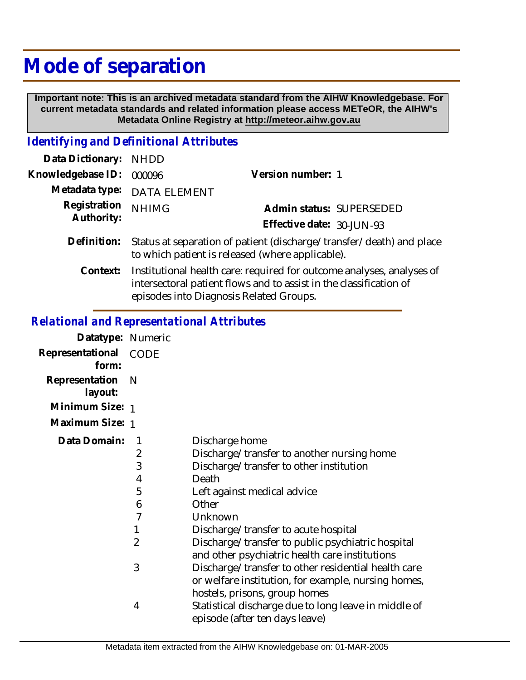# **Mode of separation**

 **Important note: This is an archived metadata standard from the AIHW Knowledgebase. For current metadata standards and related information please access METeOR, the AIHW's Metadata Online Registry at http://meteor.aihw.gov.au**

### *Identifying and Definitional Attributes*

| Data Dictionary:           | <b>NHDD</b>                                                                                                                                 |                           |                          |
|----------------------------|---------------------------------------------------------------------------------------------------------------------------------------------|---------------------------|--------------------------|
| Knowledgebase ID:          | 000096                                                                                                                                      | Version number: 1         |                          |
| Metadata type:             | <b>DATA ELEMENT</b>                                                                                                                         |                           |                          |
| Registration<br>Authority: | <b>NHIMG</b>                                                                                                                                |                           | Admin status: SUPERSEDED |
|                            |                                                                                                                                             | Effective date: 30-JUN-93 |                          |
| Definition:                | Status at separation of patient (discharge/transfer/death) and place<br>to which patient is released (where applicable).                    |                           |                          |
| Context:                   | Institutional health care: required for outcome analyses, analyses of<br>intersectoral patient flows and to assist in the classification of |                           |                          |

episodes into Diagnosis Related Groups.

## *Relational and Representational Attributes*

| Datatype: Numeric         |             |                                                                                                                                             |
|---------------------------|-------------|---------------------------------------------------------------------------------------------------------------------------------------------|
| Representational<br>form: | <b>CODE</b> |                                                                                                                                             |
| Representation<br>layout: | N           |                                                                                                                                             |
| Minimum Size: 1           |             |                                                                                                                                             |
| Maximum Size: 1           |             |                                                                                                                                             |
| Data Domain:              | 1           | Discharge home                                                                                                                              |
|                           | 2           | Discharge/transfer to another nursing home                                                                                                  |
|                           | 3           | Discharge/transfer to other institution                                                                                                     |
|                           | 4           | Death                                                                                                                                       |
|                           | 5           | Left against medical advice                                                                                                                 |
|                           | 6           | Other                                                                                                                                       |
|                           | 7           | Unknown                                                                                                                                     |
|                           | 1           | Discharge/transfer to acute hospital                                                                                                        |
|                           | 2           | Discharge/transfer to public psychiatric hospital<br>and other psychiatric health care institutions                                         |
|                           | 3           | Discharge/transfer to other residential health care<br>or welfare institution, for example, nursing homes,<br>hostels, prisons, group homes |
|                           | 4           | Statistical discharge due to long leave in middle of<br>episode (after ten days leave)                                                      |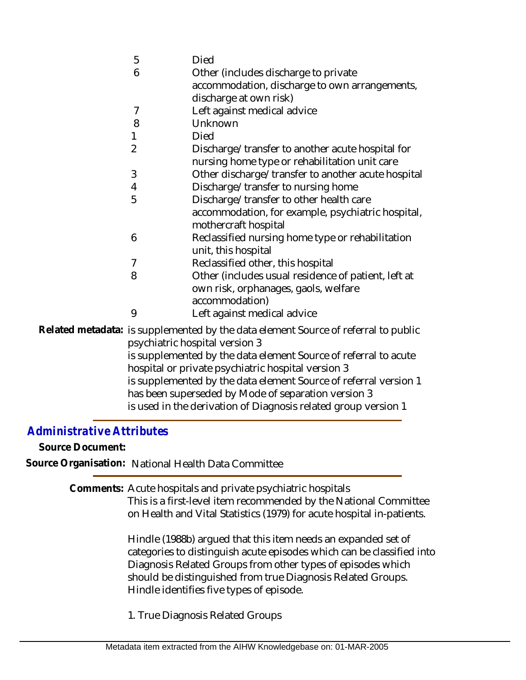|  | 5                                                                                                 | <b>Died</b>                                                                        |  |
|--|---------------------------------------------------------------------------------------------------|------------------------------------------------------------------------------------|--|
|  | 6                                                                                                 | Other (includes discharge to private                                               |  |
|  |                                                                                                   | accommodation, discharge to own arrangements,                                      |  |
|  |                                                                                                   | discharge at own risk)                                                             |  |
|  | $\overline{7}$                                                                                    | Left against medical advice                                                        |  |
|  | 8                                                                                                 | Unknown                                                                            |  |
|  | 1                                                                                                 | Died                                                                               |  |
|  | $\overline{2}$                                                                                    | Discharge/transfer to another acute hospital for                                   |  |
|  |                                                                                                   | nursing home type or rehabilitation unit care                                      |  |
|  | 3                                                                                                 | Other discharge/transfer to another acute hospital                                 |  |
|  | 4                                                                                                 | Discharge/transfer to nursing home                                                 |  |
|  | 5                                                                                                 | Discharge/transfer to other health care                                            |  |
|  |                                                                                                   | accommodation, for example, psychiatric hospital,                                  |  |
|  |                                                                                                   | mothercraft hospital                                                               |  |
|  | 6                                                                                                 | Reclassified nursing home type or rehabilitation                                   |  |
|  |                                                                                                   | unit, this hospital                                                                |  |
|  | 7                                                                                                 | Reclassified other, this hospital                                                  |  |
|  | 8                                                                                                 | Other (includes usual residence of patient, left at                                |  |
|  |                                                                                                   | own risk, orphanages, gaols, welfare                                               |  |
|  |                                                                                                   | accommodation)                                                                     |  |
|  | 9                                                                                                 | Left against medical advice                                                        |  |
|  |                                                                                                   | Related metadata: is supplemented by the data element Source of referral to public |  |
|  | psychiatric hospital version 3<br>is supplemented by the data element Source of referral to acute |                                                                                    |  |
|  |                                                                                                   |                                                                                    |  |
|  | hospital or private psychiatric hospital version 3                                                |                                                                                    |  |
|  |                                                                                                   | is supplemented by the data element Source of referral version 1                   |  |
|  |                                                                                                   | has been superseded by Mode of separation version 3                                |  |

is used in the derivation of Diagnosis related group version 1

## *Administrative Attributes*

**Source Document:**

**Source Organisation:** National Health Data Committee

Comments: Acute hospitals and private psychiatric hospitals

This is a first-level item recommended by the National Committee on Health and Vital Statistics (1979) for acute hospital in-patients.

Hindle (1988b) argued that this item needs an expanded set of categories to distinguish acute episodes which can be classified into Diagnosis Related Groups from other types of episodes which should be distinguished from true Diagnosis Related Groups. Hindle identifies five types of episode.

1. True Diagnosis Related Groups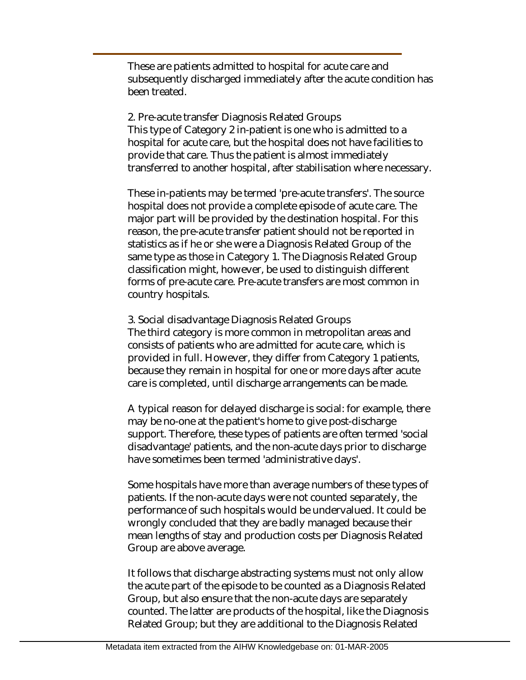These are patients admitted to hospital for acute care and subsequently discharged immediately after the acute condition has been treated.

2. Pre-acute transfer Diagnosis Related Groups This type of Category 2 in-patient is one who is admitted to a hospital for acute care, but the hospital does not have facilities to provide that care. Thus the patient is almost immediately transferred to another hospital, after stabilisation where necessary.

These in-patients may be termed 'pre-acute transfers'. The source hospital does not provide a complete episode of acute care. The major part will be provided by the destination hospital. For this reason, the pre-acute transfer patient should not be reported in statistics as if he or she were a Diagnosis Related Group of the same type as those in Category 1. The Diagnosis Related Group classification might, however, be used to distinguish different forms of pre-acute care. Pre-acute transfers are most common in country hospitals.

3. Social disadvantage Diagnosis Related Groups The third category is more common in metropolitan areas and consists of patients who are admitted for acute care, which is provided in full. However, they differ from Category 1 patients, because they remain in hospital for one or more days after acute care is completed, until discharge arrangements can be made.

A typical reason for delayed discharge is social: for example, there may be no-one at the patient's home to give post-discharge support. Therefore, these types of patients are often termed 'social disadvantage' patients, and the non-acute days prior to discharge have sometimes been termed 'administrative days'.

Some hospitals have more than average numbers of these types of patients. If the non-acute days were not counted separately, the performance of such hospitals would be undervalued. It could be wrongly concluded that they are badly managed because their mean lengths of stay and production costs per Diagnosis Related Group are above average.

It follows that discharge abstracting systems must not only allow the acute part of the episode to be counted as a Diagnosis Related Group, but also ensure that the non-acute days are separately counted. The latter are products of the hospital, like the Diagnosis Related Group; but they are additional to the Diagnosis Related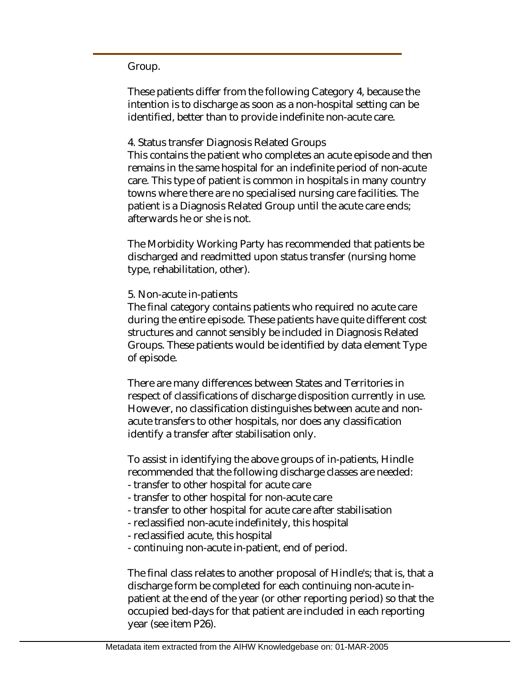#### Group.

These patients differ from the following Category 4, because the intention is to discharge as soon as a non-hospital setting can be identified, better than to provide indefinite non-acute care.

#### 4. Status transfer Diagnosis Related Groups This contains the patient who completes an acute episode and then remains in the same hospital for an indefinite period of non-acute care. This type of patient is common in hospitals in many country towns where there are no specialised nursing care facilities. The patient is a Diagnosis Related Group until the acute care ends; afterwards he or she is not.

The Morbidity Working Party has recommended that patients be discharged and readmitted upon status transfer (nursing home type, rehabilitation, other).

#### 5. Non-acute in-patients

The final category contains patients who required no acute care during the entire episode. These patients have quite different cost structures and cannot sensibly be included in Diagnosis Related Groups. These patients would be identified by data element Type of episode.

There are many differences between States and Territories in respect of classifications of discharge disposition currently in use. However, no classification distinguishes between acute and nonacute transfers to other hospitals, nor does any classification identify a transfer after stabilisation only.

To assist in identifying the above groups of in-patients, Hindle recommended that the following discharge classes are needed:

- transfer to other hospital for acute care
- transfer to other hospital for non-acute care
- transfer to other hospital for acute care after stabilisation
- reclassified non-acute indefinitely, this hospital
- reclassified acute, this hospital
- continuing non-acute in-patient, end of period.

The final class relates to another proposal of Hindle's; that is, that a discharge form be completed for each continuing non-acute inpatient at the end of the year (or other reporting period) so that the occupied bed-days for that patient are included in each reporting year (see item P26).